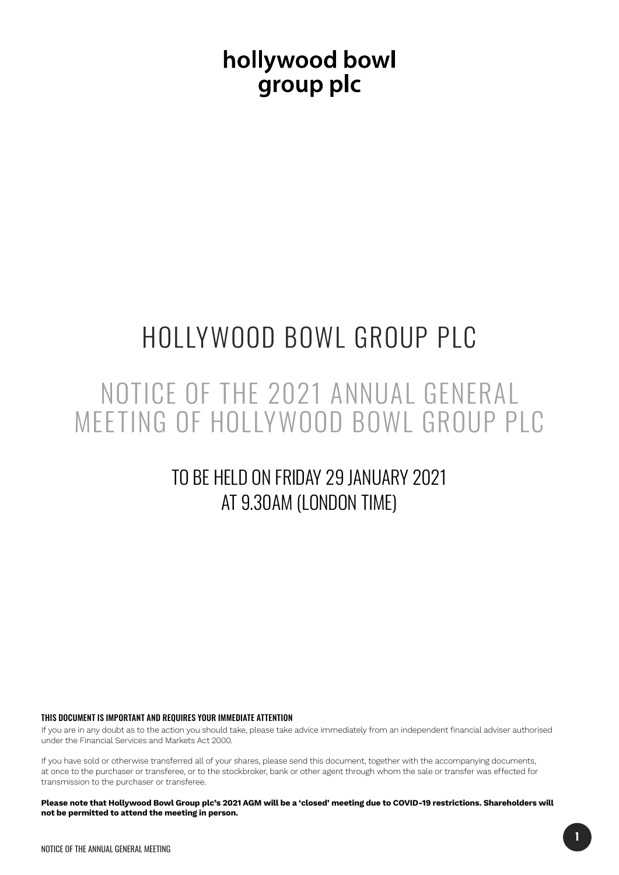hollywood bowl group plc

# HOLLYWOOD BOWL GROUP PLC

## NOTICE OF THE 2021 ANNUAL GENERAL MEETING OF HOLLYWOOD BOWL GROUP PLC

## TO BE HELD ON FRIDAY 29 JANUARY 2021 AT 9.30AM (LONDON TIME)

THIS DOCUMENT IS IMPORTANT AND REQUIRES YOUR IMMEDIATE ATTENTION

If you are in any doubt as to the action you should take, please take advice immediately from an independent financial adviser authorised under the Financial Services and Markets Act 2000.

If you have sold or otherwise transferred all of your shares, please send this document, together with the accompanying documents, at once to the purchaser or transferee, or to the stockbroker, bank or other agent through whom the sale or transfer was effected for transmission to the purchaser or transferee.

**Please note that Hollywood Bowl Group plc's 2021 AGM will be a 'closed' meeting due to COVID-19 restrictions. Shareholders will not be permitted to attend the meeting in person.**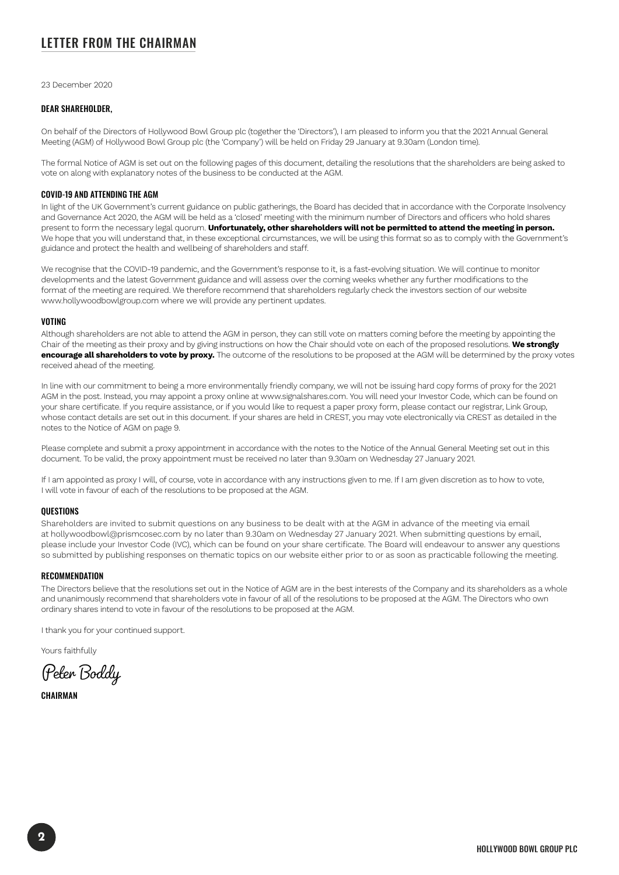## LETTER FROM THE CHAIRMAN

23 December 2020

#### DEAR SHAREHOLDER,

On behalf of the Directors of Hollywood Bowl Group plc (together the 'Directors'), I am pleased to inform you that the 2021 Annual General Meeting (AGM) of Hollywood Bowl Group plc (the 'Company') will be held on Friday 29 January at 9.30am (London time).

The formal Notice of AGM is set out on the following pages of this document, detailing the resolutions that the shareholders are being asked to vote on along with explanatory notes of the business to be conducted at the AGM.

#### COVID-19 AND ATTENDING THE AGM

In light of the UK Government's current guidance on public gatherings, the Board has decided that in accordance with the Corporate Insolvency and Governance Act 2020, the AGM will be held as a 'closed' meeting with the minimum number of Directors and officers who hold shares present to form the necessary legal quorum. **Unfortunately, other shareholders will not be permitted to attend the meeting in person.** We hope that you will understand that, in these exceptional circumstances, we will be using this format so as to comply with the Government's guidance and protect the health and wellbeing of shareholders and staff.

We recognise that the COVID-19 pandemic, and the Government's response to it, is a fast-evolving situation. We will continue to monitor developments and the latest Government guidance and will assess over the coming weeks whether any further modifications to the format of the meeting are required. We therefore recommend that shareholders regularly check the investors section of our website www.hollywoodbowlgroup.com where we will provide any pertinent updates.

#### VOTING

Although shareholders are not able to attend the AGM in person, they can still vote on matters coming before the meeting by appointing the Chair of the meeting as their proxy and by giving instructions on how the Chair should vote on each of the proposed resolutions. **We strongly encourage all shareholders to vote by proxy.** The outcome of the resolutions to be proposed at the AGM will be determined by the proxy votes received ahead of the meeting.

In line with our commitment to being a more environmentally friendly company, we will not be issuing hard copy forms of proxy for the 2021 AGM in the post. Instead, you may appoint a proxy online at www.signalshares.com. You will need your Investor Code, which can be found on your share certificate. If you require assistance, or if you would like to request a paper proxy form, please contact our registrar, Link Group, whose contact details are set out in this document. If your shares are held in CREST, you may vote electronically via CREST as detailed in the notes to the Notice of AGM on page 9.

Please complete and submit a proxy appointment in accordance with the notes to the Notice of the Annual General Meeting set out in this document. To be valid, the proxy appointment must be received no later than 9.30am on Wednesday 27 January 2021.

If I am appointed as proxy I will, of course, vote in accordance with any instructions given to me. If I am given discretion as to how to vote, I will vote in favour of each of the resolutions to be proposed at the AGM.

#### **OUESTIONS**

Shareholders are invited to submit questions on any business to be dealt with at the AGM in advance of the meeting via email at hollywoodbowl@prismcosec.com by no later than 9.30am on Wednesday 27 January 2021. When submitting questions by email, please include your Investor Code (IVC), which can be found on your share certificate. The Board will endeavour to answer any questions so submitted by publishing responses on thematic topics on our website either prior to or as soon as practicable following the meeting.

#### **RECOMMENDATION**

The Directors believe that the resolutions set out in the Notice of AGM are in the best interests of the Company and its shareholders as a whole and unanimously recommend that shareholders vote in favour of all of the resolutions to be proposed at the AGM. The Directors who own ordinary shares intend to vote in favour of the resolutions to be proposed at the AGM.

I thank you for your continued support.

Yours faithfully

Peter Boddy

**CHAIRMAN**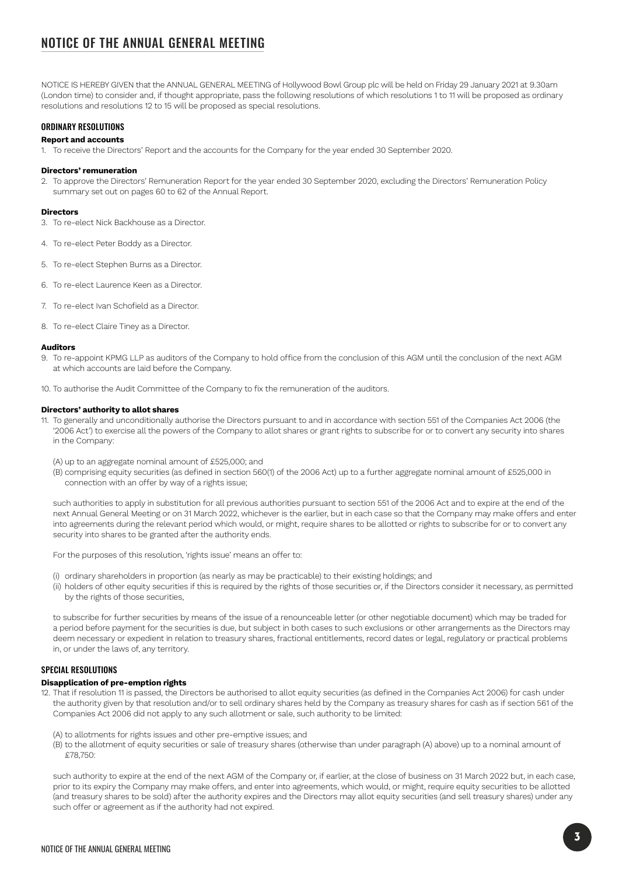## NOTICE OF THE ANNUAL GENERAL MEETING

NOTICE IS HEREBY GIVEN that the ANNUAL GENERAL MEETING of Hollywood Bowl Group plc will be held on Friday 29 January 2021 at 9.30am (London time) to consider and, if thought appropriate, pass the following resolutions of which resolutions 1 to 11 will be proposed as ordinary resolutions and resolutions 12 to 15 will be proposed as special resolutions.

#### ORDINARY RESOLUTIONS

#### **Report and accounts**

1. To receive the Directors' Report and the accounts for the Company for the year ended 30 September 2020.

#### **Directors' remuneration**

2. To approve the Directors' Remuneration Report for the year ended 30 September 2020, excluding the Directors' Remuneration Policy summary set out on pages 60 to 62 of the Annual Report.

#### **Directors**

- 3. To re-elect Nick Backhouse as a Director.
- 4. To re-elect Peter Boddy as a Director.
- 5. To re-elect Stephen Burns as a Director.
- 6. To re-elect Laurence Keen as a Director.
- 7. To re-elect Ivan Schofield as a Director.
- 8. To re-elect Claire Tiney as a Director.

#### **Auditors**

- 9. To re-appoint KPMG LLP as auditors of the Company to hold office from the conclusion of this AGM until the conclusion of the next AGM at which accounts are laid before the Company.
- 10. To authorise the Audit Committee of the Company to fix the remuneration of the auditors.

#### **Directors' authority to allot shares**

- 11. To generally and unconditionally authorise the Directors pursuant to and in accordance with section 551 of the Companies Act 2006 (the '2006 Act') to exercise all the powers of the Company to allot shares or grant rights to subscribe for or to convert any security into shares in the Company:
	- (A) up to an aggregate nominal amount of £525,000; and
	- (B) comprising equity securities (as defined in section 560(1) of the 2006 Act) up to a further aggregate nominal amount of £525,000 in connection with an offer by way of a rights issue;

such authorities to apply in substitution for all previous authorities pursuant to section 551 of the 2006 Act and to expire at the end of the next Annual General Meeting or on 31 March 2022, whichever is the earlier, but in each case so that the Company may make offers and enter into agreements during the relevant period which would, or might, require shares to be allotted or rights to subscribe for or to convert any security into shares to be granted after the authority ends.

For the purposes of this resolution, 'rights issue' means an offer to:

- (i) ordinary shareholders in proportion (as nearly as may be practicable) to their existing holdings; and
- (ii) holders of other equity securities if this is required by the rights of those securities or, if the Directors consider it necessary, as permitted by the rights of those securities,

to subscribe for further securities by means of the issue of a renounceable letter (or other negotiable document) which may be traded for a period before payment for the securities is due, but subject in both cases to such exclusions or other arrangements as the Directors may deem necessary or expedient in relation to treasury shares, fractional entitlements, record dates or legal, regulatory or practical problems in, or under the laws of, any territory.

#### SPECIAL RESOLUTIONS

#### **Disapplication of pre-emption rights**

- 12. That if resolution 11 is passed, the Directors be authorised to allot equity securities (as defined in the Companies Act 2006) for cash under the authority given by that resolution and/or to sell ordinary shares held by the Company as treasury shares for cash as if section 561 of the Companies Act 2006 did not apply to any such allotment or sale, such authority to be limited:
	- (A) to allotments for rights issues and other pre-emptive issues; and
	- (B) to the allotment of equity securities or sale of treasury shares (otherwise than under paragraph (A) above) up to a nominal amount of £78,750:

such authority to expire at the end of the next AGM of the Company or, if earlier, at the close of business on 31 March 2022 but, in each case, prior to its expiry the Company may make offers, and enter into agreements, which would, or might, require equity securities to be allotted (and treasury shares to be sold) after the authority expires and the Directors may allot equity securities (and sell treasury shares) under any such offer or agreement as if the authority had not expired.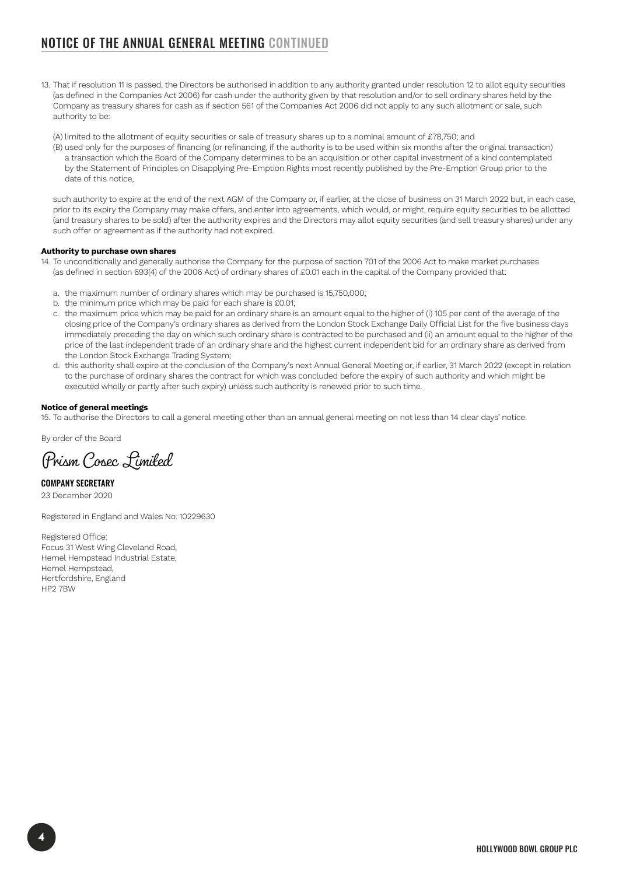## NOTICE OF THE ANNUAL GENERAL MEETING CONTINUED

13. That if resolution 11 is passed, the Directors be authorised in addition to any authority granted under resolution 12 to allot equity securities (as defined in the Companies Act 2006) for cash under the authority given by that resolution and/or to sell ordinary shares held by the Company as treasury shares for cash as if section 561 of the Companies Act 2006 did not apply to any such allotment or sale, such authority to be:

(A) limited to the allotment of equity securities or sale of treasury shares up to a nominal amount of £78,750; and

(B) used only for the purposes of financing (or refinancing, if the authority is to be used within six months after the original transaction) a transaction which the Board of the Company determines to be an acquisition or other capital investment of a kind contemplated by the Statement of Principles on Disapplying Pre-Emption Rights most recently published by the Pre-Emption Group prior to the date of this notice,

such authority to expire at the end of the next AGM of the Company or, if earlier, at the close of business on 31 March 2022 but, in each case, prior to its expiry the Company may make offers, and enter into agreements, which would, or might, require equity securities to be allotted (and treasury shares to be sold) after the authority expires and the Directors may allot equity securities (and sell treasury shares) under any such offer or agreement as if the authority had not expired.

#### **Authority to purchase own shares**

- 14. To unconditionally and generally authorise the Company for the purpose of section 701 of the 2006 Act to make market purchases (as defined in section 693(4) of the 2006 Act) of ordinary shares of £0.01 each in the capital of the Company provided that:
	- a. the maximum number of ordinary shares which may be purchased is 15,750,000;
	- b. the minimum price which may be paid for each share is £0.01;
	- c. the maximum price which may be paid for an ordinary share is an amount equal to the higher of (i) 105 per cent of the average of the closing price of the Company's ordinary shares as derived from the London Stock Exchange Daily Official List for the five business days immediately preceding the day on which such ordinary share is contracted to be purchased and (ii) an amount equal to the higher of the price of the last independent trade of an ordinary share and the highest current independent bid for an ordinary share as derived from the London Stock Exchange Trading System;
	- d. this authority shall expire at the conclusion of the Company's next Annual General Meeting or, if earlier, 31 March 2022 (except in relation to the purchase of ordinary shares the contract for which was concluded before the expiry of such authority and which might be executed wholly or partly after such expiry) unless such authority is renewed prior to such time.

#### **Notice of general meetings**

15. To authorise the Directors to call a general meeting other than an annual general meeting on not less than 14 clear days' notice.

By order of the Board

Prism Cosec Limited

COMPANY SECRETARY 23 December 2020

Registered in England and Wales No. 10229630

Registered Office: Focus 31 West Wing Cleveland Road, Hemel Hempstead Industrial Estate, Hemel Hempstead, Hertfordshire, England HP2 7BW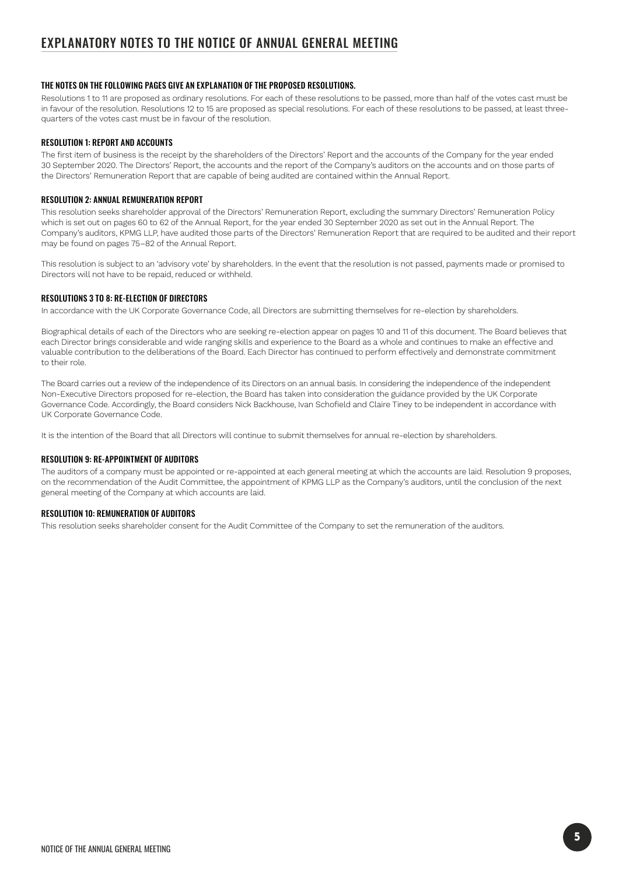#### THE NOTES ON THE FOLLOWING PAGES GIVE AN EXPLANATION OF THE PROPOSED RESOLUTIONS.

Resolutions 1 to 11 are proposed as ordinary resolutions. For each of these resolutions to be passed, more than half of the votes cast must be in favour of the resolution. Resolutions 12 to 15 are proposed as special resolutions. For each of these resolutions to be passed, at least threequarters of the votes cast must be in favour of the resolution.

#### RESOLUTION 1: REPORT AND ACCOUNTS

The first item of business is the receipt by the shareholders of the Directors' Report and the accounts of the Company for the year ended 30 September 2020. The Directors' Report, the accounts and the report of the Company's auditors on the accounts and on those parts of the Directors' Remuneration Report that are capable of being audited are contained within the Annual Report.

#### RESOLUTION 2: ANNUAL REMUNERATION REPORT

This resolution seeks shareholder approval of the Directors' Remuneration Report, excluding the summary Directors' Remuneration Policy which is set out on pages 60 to 62 of the Annual Report, for the year ended 30 September 2020 as set out in the Annual Report. The Company's auditors, KPMG LLP, have audited those parts of the Directors' Remuneration Report that are required to be audited and their report may be found on pages 75–82 of the Annual Report.

This resolution is subject to an 'advisory vote' by shareholders. In the event that the resolution is not passed, payments made or promised to Directors will not have to be repaid, reduced or withheld.

#### RESOLUTIONS 3 TO 8: RE-ELECTION OF DIRECTORS

In accordance with the UK Corporate Governance Code, all Directors are submitting themselves for re-election by shareholders.

Biographical details of each of the Directors who are seeking re-election appear on pages 10 and 11 of this document. The Board believes that each Director brings considerable and wide ranging skills and experience to the Board as a whole and continues to make an effective and valuable contribution to the deliberations of the Board. Each Director has continued to perform effectively and demonstrate commitment to their role.

The Board carries out a review of the independence of its Directors on an annual basis. In considering the independence of the independent Non-Executive Directors proposed for re-election, the Board has taken into consideration the guidance provided by the UK Corporate Governance Code. Accordingly, the Board considers Nick Backhouse, Ivan Schofield and Claire Tiney to be independent in accordance with UK Corporate Governance Code.

It is the intention of the Board that all Directors will continue to submit themselves for annual re-election by shareholders.

#### RESOLUTION 9: RE-APPOINTMENT OF AUDITORS

The auditors of a company must be appointed or re-appointed at each general meeting at which the accounts are laid. Resolution 9 proposes, on the recommendation of the Audit Committee, the appointment of KPMG LLP as the Company's auditors, until the conclusion of the next general meeting of the Company at which accounts are laid.

#### RESOLUTION 10: REMUNERATION OF AUDITORS

This resolution seeks shareholder consent for the Audit Committee of the Company to set the remuneration of the auditors.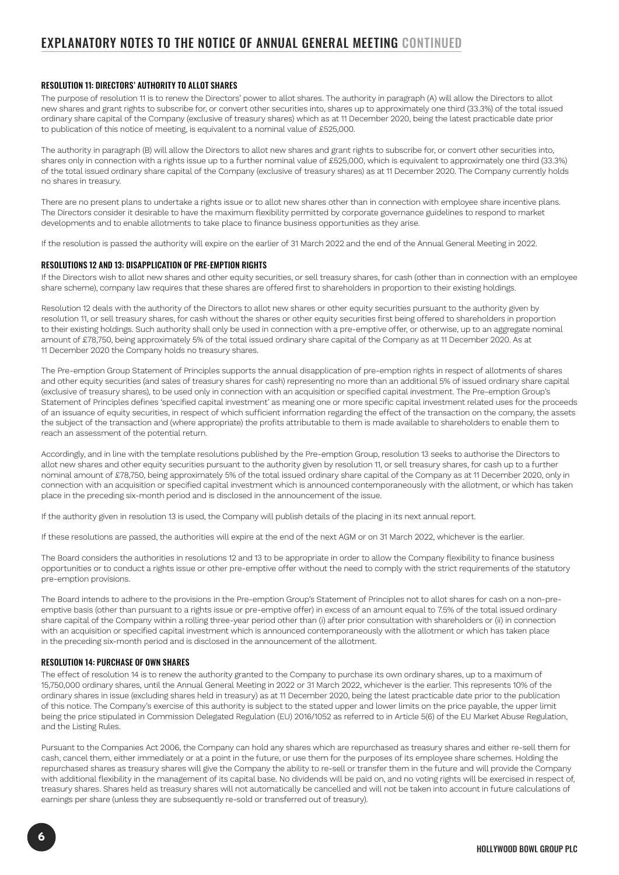## EXPLANATORY NOTES TO THE NOTICE OF ANNUAL GENERAL MEETING CONTINUED

#### RESOLUTION 11: DIRECTORS' AUTHORITY TO ALLOT SHARES

The purpose of resolution 11 is to renew the Directors' power to allot shares. The authority in paragraph (A) will allow the Directors to allot new shares and grant rights to subscribe for, or convert other securities into, shares up to approximately one third (33.3%) of the total issued ordinary share capital of the Company (exclusive of treasury shares) which as at 11 December 2020, being the latest practicable date prior to publication of this notice of meeting, is equivalent to a nominal value of £525,000.

The authority in paragraph (B) will allow the Directors to allot new shares and grant rights to subscribe for, or convert other securities into, shares only in connection with a rights issue up to a further nominal value of £525,000, which is equivalent to approximately one third (33.3%) of the total issued ordinary share capital of the Company (exclusive of treasury shares) as at 11 December 2020. The Company currently holds no shares in treasury.

There are no present plans to undertake a rights issue or to allot new shares other than in connection with employee share incentive plans. The Directors consider it desirable to have the maximum flexibility permitted by corporate governance guidelines to respond to market developments and to enable allotments to take place to finance business opportunities as they arise.

If the resolution is passed the authority will expire on the earlier of 31 March 2022 and the end of the Annual General Meeting in 2022.

#### RESOLUTIONS 12 AND 13: DISAPPLICATION OF PRE-EMPTION RIGHTS

If the Directors wish to allot new shares and other equity securities, or sell treasury shares, for cash (other than in connection with an employee share scheme), company law requires that these shares are offered first to shareholders in proportion to their existing holdings.

Resolution 12 deals with the authority of the Directors to allot new shares or other equity securities pursuant to the authority given by resolution 11, or sell treasury shares, for cash without the shares or other equity securities first being offered to shareholders in proportion to their existing holdings. Such authority shall only be used in connection with a pre-emptive offer, or otherwise, up to an aggregate nominal amount of £78,750, being approximately 5% of the total issued ordinary share capital of the Company as at 11 December 2020. As at 11 December 2020 the Company holds no treasury shares.

The Pre-emption Group Statement of Principles supports the annual disapplication of pre-emption rights in respect of allotments of shares and other equity securities (and sales of treasury shares for cash) representing no more than an additional 5% of issued ordinary share capital (exclusive of treasury shares), to be used only in connection with an acquisition or specified capital investment. The Pre-emption Group's Statement of Principles defines 'specified capital investment' as meaning one or more specific capital investment related uses for the proceeds of an issuance of equity securities, in respect of which sufficient information regarding the effect of the transaction on the company, the assets the subject of the transaction and (where appropriate) the profits attributable to them is made available to shareholders to enable them to reach an assessment of the potential return.

Accordingly, and in line with the template resolutions published by the Pre-emption Group, resolution 13 seeks to authorise the Directors to allot new shares and other equity securities pursuant to the authority given by resolution 11, or sell treasury shares, for cash up to a further nominal amount of £78,750, being approximately 5% of the total issued ordinary share capital of the Company as at 11 December 2020, only in connection with an acquisition or specified capital investment which is announced contemporaneously with the allotment, or which has taken place in the preceding six-month period and is disclosed in the announcement of the issue.

If the authority given in resolution 13 is used, the Company will publish details of the placing in its next annual report.

If these resolutions are passed, the authorities will expire at the end of the next AGM or on 31 March 2022, whichever is the earlier.

The Board considers the authorities in resolutions 12 and 13 to be appropriate in order to allow the Company flexibility to finance business opportunities or to conduct a rights issue or other pre-emptive offer without the need to comply with the strict requirements of the statutory pre-emption provisions.

The Board intends to adhere to the provisions in the Pre-emption Group's Statement of Principles not to allot shares for cash on a non-preemptive basis (other than pursuant to a rights issue or pre-emptive offer) in excess of an amount equal to 7.5% of the total issued ordinary share capital of the Company within a rolling three-year period other than (i) after prior consultation with shareholders or (ii) in connection with an acquisition or specified capital investment which is announced contemporaneously with the allotment or which has taken place in the preceding six-month period and is disclosed in the announcement of the allotment.

#### RESOLUTION 14: PURCHASE OF OWN SHARES

The effect of resolution 14 is to renew the authority granted to the Company to purchase its own ordinary shares, up to a maximum of 15,750,000 ordinary shares, until the Annual General Meeting in 2022 or 31 March 2022, whichever is the earlier. This represents 10% of the ordinary shares in issue (excluding shares held in treasury) as at 11 December 2020, being the latest practicable date prior to the publication of this notice. The Company's exercise of this authority is subject to the stated upper and lower limits on the price payable, the upper limit being the price stipulated in Commission Delegated Regulation (EU) 2016/1052 as referred to in Article 5(6) of the EU Market Abuse Regulation, and the Listing Rules.

Pursuant to the Companies Act 2006, the Company can hold any shares which are repurchased as treasury shares and either re-sell them for cash, cancel them, either immediately or at a point in the future, or use them for the purposes of its employee share schemes. Holding the repurchased shares as treasury shares will give the Company the ability to re-sell or transfer them in the future and will provide the Company with additional flexibility in the management of its capital base. No dividends will be paid on, and no voting rights will be exercised in respect of, treasury shares. Shares held as treasury shares will not automatically be cancelled and will not be taken into account in future calculations of earnings per share (unless they are subsequently re-sold or transferred out of treasury).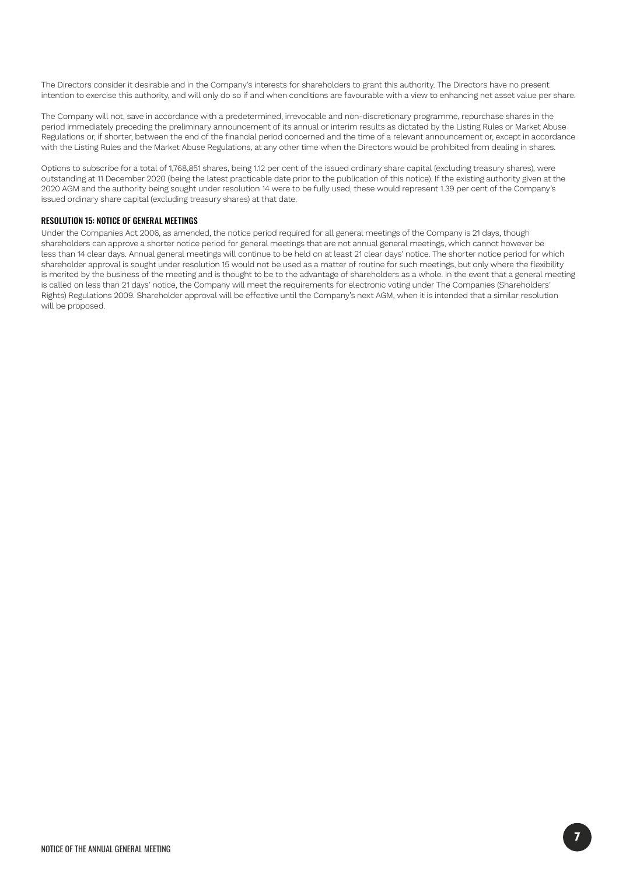The Directors consider it desirable and in the Company's interests for shareholders to grant this authority. The Directors have no present intention to exercise this authority, and will only do so if and when conditions are favourable with a view to enhancing net asset value per share.

The Company will not, save in accordance with a predetermined, irrevocable and non-discretionary programme, repurchase shares in the period immediately preceding the preliminary announcement of its annual or interim results as dictated by the Listing Rules or Market Abuse Regulations or, if shorter, between the end of the financial period concerned and the time of a relevant announcement or, except in accordance with the Listing Rules and the Market Abuse Regulations, at any other time when the Directors would be prohibited from dealing in shares.

Options to subscribe for a total of 1,768,851 shares, being 1.12 per cent of the issued ordinary share capital (excluding treasury shares), were outstanding at 11 December 2020 (being the latest practicable date prior to the publication of this notice). If the existing authority given at the 2020 AGM and the authority being sought under resolution 14 were to be fully used, these would represent 1.39 per cent of the Company's issued ordinary share capital (excluding treasury shares) at that date.

#### RESOLUTION 15: NOTICE OF GENERAL MEETINGS

Under the Companies Act 2006, as amended, the notice period required for all general meetings of the Company is 21 days, though shareholders can approve a shorter notice period for general meetings that are not annual general meetings, which cannot however be less than 14 clear days. Annual general meetings will continue to be held on at least 21 clear days' notice. The shorter notice period for which shareholder approval is sought under resolution 15 would not be used as a matter of routine for such meetings, but only where the flexibility is merited by the business of the meeting and is thought to be to the advantage of shareholders as a whole. In the event that a general meeting is called on less than 21 days' notice, the Company will meet the requirements for electronic voting under The Companies (Shareholders' Rights) Regulations 2009. Shareholder approval will be effective until the Company's next AGM, when it is intended that a similar resolution will be proposed.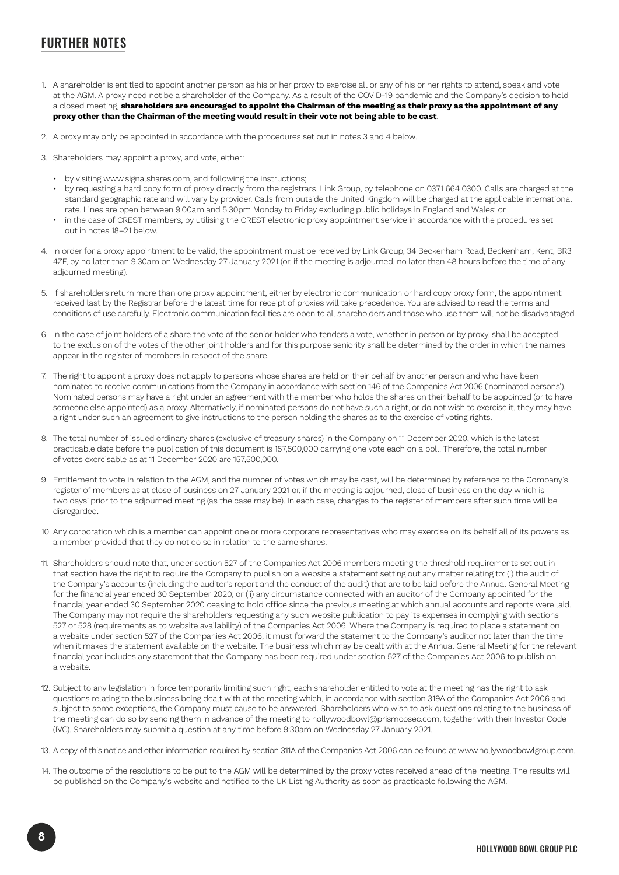## FURTHER NOTES

- 1. A shareholder is entitled to appoint another person as his or her proxy to exercise all or any of his or her rights to attend, speak and vote at the AGM. A proxy need not be a shareholder of the Company. As a result of the COVID-19 pandemic and the Company's decision to hold a closed meeting, **shareholders are encouraged to appoint the Chairman of the meeting as their proxy as the appointment of any proxy other than the Chairman of the meeting would result in their vote not being able to be cast**.
- 2. A proxy may only be appointed in accordance with the procedures set out in notes 3 and 4 below.
- 3. Shareholders may appoint a proxy, and vote, either:
	- by visiting www.signalshares.com, and following the instructions;
	- by requesting a hard copy form of proxy directly from the registrars, Link Group, by telephone on 0371 664 0300. Calls are charged at the standard geographic rate and will vary by provider. Calls from outside the United Kingdom will be charged at the applicable international rate. Lines are open between 9.00am and 5.30pm Monday to Friday excluding public holidays in England and Wales; or • in the case of CREST members, by utilising the CREST electronic proxy appointment service in accordance with the procedures set
	- out in notes 18–21 below.
- 4. In order for a proxy appointment to be valid, the appointment must be received by Link Group, 34 Beckenham Road, Beckenham, Kent, BR3 4ZF, by no later than 9.30am on Wednesday 27 January 2021 (or, if the meeting is adjourned, no later than 48 hours before the time of any adjourned meeting).
- 5. If shareholders return more than one proxy appointment, either by electronic communication or hard copy proxy form, the appointment received last by the Registrar before the latest time for receipt of proxies will take precedence. You are advised to read the terms and conditions of use carefully. Electronic communication facilities are open to all shareholders and those who use them will not be disadvantaged.
- 6. In the case of joint holders of a share the vote of the senior holder who tenders a vote, whether in person or by proxy, shall be accepted to the exclusion of the votes of the other joint holders and for this purpose seniority shall be determined by the order in which the names appear in the register of members in respect of the share.
- 7. The right to appoint a proxy does not apply to persons whose shares are held on their behalf by another person and who have been nominated to receive communications from the Company in accordance with section 146 of the Companies Act 2006 ('nominated persons'). Nominated persons may have a right under an agreement with the member who holds the shares on their behalf to be appointed (or to have someone else appointed) as a proxy. Alternatively, if nominated persons do not have such a right, or do not wish to exercise it, they may have a right under such an agreement to give instructions to the person holding the shares as to the exercise of voting rights.
- 8. The total number of issued ordinary shares (exclusive of treasury shares) in the Company on 11 December 2020, which is the latest practicable date before the publication of this document is 157,500,000 carrying one vote each on a poll. Therefore, the total number of votes exercisable as at 11 December 2020 are 157,500,000.
- 9. Entitlement to vote in relation to the AGM, and the number of votes which may be cast, will be determined by reference to the Company's register of members as at close of business on 27 January 2021 or, if the meeting is adjourned, close of business on the day which is two days' prior to the adjourned meeting (as the case may be). In each case, changes to the register of members after such time will be disregarded.
- 10. Any corporation which is a member can appoint one or more corporate representatives who may exercise on its behalf all of its powers as a member provided that they do not do so in relation to the same shares.
- 11. Shareholders should note that, under section 527 of the Companies Act 2006 members meeting the threshold requirements set out in that section have the right to require the Company to publish on a website a statement setting out any matter relating to: (i) the audit of the Company's accounts (including the auditor's report and the conduct of the audit) that are to be laid before the Annual General Meeting for the financial year ended 30 September 2020; or (ii) any circumstance connected with an auditor of the Company appointed for the financial year ended 30 September 2020 ceasing to hold office since the previous meeting at which annual accounts and reports were laid. The Company may not require the shareholders requesting any such website publication to pay its expenses in complying with sections 527 or 528 (requirements as to website availability) of the Companies Act 2006. Where the Company is required to place a statement on a website under section 527 of the Companies Act 2006, it must forward the statement to the Company's auditor not later than the time when it makes the statement available on the website. The business which may be dealt with at the Annual General Meeting for the relevant financial year includes any statement that the Company has been required under section 527 of the Companies Act 2006 to publish on a website.
- 12. Subject to any legislation in force temporarily limiting such right, each shareholder entitled to vote at the meeting has the right to ask questions relating to the business being dealt with at the meeting which, in accordance with section 319A of the Companies Act 2006 and subject to some exceptions, the Company must cause to be answered. Shareholders who wish to ask questions relating to the business of the meeting can do so by sending them in advance of the meeting to hollywoodbowl@prismcosec.com, together with their Investor Code (IVC). Shareholders may submit a question at any time before 9:30am on Wednesday 27 January 2021.
- 13. A copy of this notice and other information required by section 311A of the Companies Act 2006 can be found at www.hollywoodbowlgroup.com.
- 14. The outcome of the resolutions to be put to the AGM will be determined by the proxy votes received ahead of the meeting. The results will be published on the Company's website and notified to the UK Listing Authority as soon as practicable following the AGM.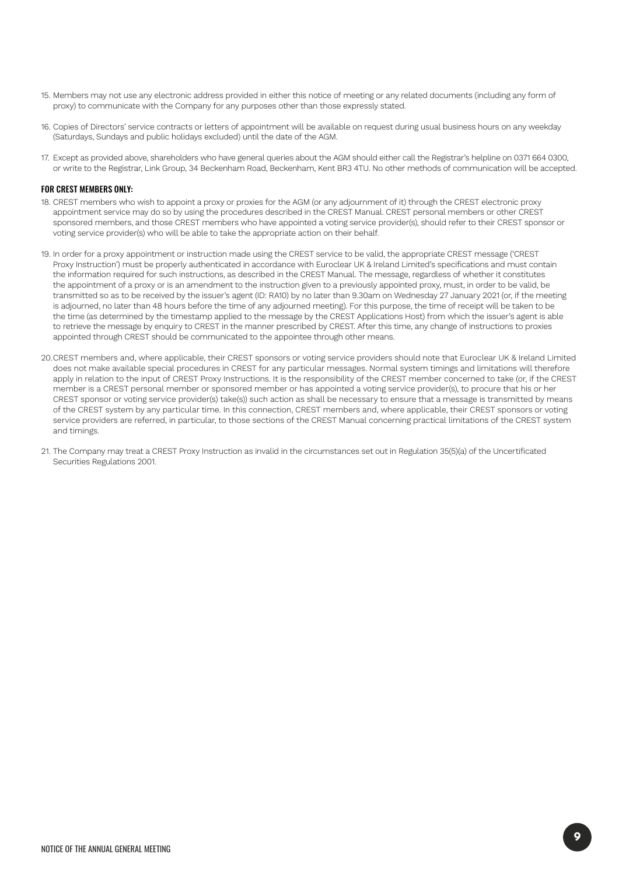- 15. Members may not use any electronic address provided in either this notice of meeting or any related documents (including any form of proxy) to communicate with the Company for any purposes other than those expressly stated.
- 16. Copies of Directors' service contracts or letters of appointment will be available on request during usual business hours on any weekday (Saturdays, Sundays and public holidays excluded) until the date of the AGM.
- 17. Except as provided above, shareholders who have general queries about the AGM should either call the Registrar's helpline on 0371 664 0300, or write to the Registrar, Link Group, 34 Beckenham Road, Beckenham, Kent BR3 4TU. No other methods of communication will be accepted.

#### FOR CREST MEMBERS ONLY:

- 18. CREST members who wish to appoint a proxy or proxies for the AGM (or any adjournment of it) through the CREST electronic proxy appointment service may do so by using the procedures described in the CREST Manual. CREST personal members or other CREST sponsored members, and those CREST members who have appointed a voting service provider(s), should refer to their CREST sponsor or voting service provider(s) who will be able to take the appropriate action on their behalf.
- 19. In order for a proxy appointment or instruction made using the CREST service to be valid, the appropriate CREST message ('CREST Proxy Instruction') must be properly authenticated in accordance with Euroclear UK & Ireland Limited's specifications and must contain the information required for such instructions, as described in the CREST Manual. The message, regardless of whether it constitutes the appointment of a proxy or is an amendment to the instruction given to a previously appointed proxy, must, in order to be valid, be transmitted so as to be received by the issuer's agent (ID: RA10) by no later than 9.30am on Wednesday 27 January 2021 (or, if the meeting is adjourned, no later than 48 hours before the time of any adjourned meeting). For this purpose, the time of receipt will be taken to be the time (as determined by the timestamp applied to the message by the CREST Applications Host) from which the issuer's agent is able to retrieve the message by enquiry to CREST in the manner prescribed by CREST. After this time, any change of instructions to proxies appointed through CREST should be communicated to the appointee through other means.
- 20.CREST members and, where applicable, their CREST sponsors or voting service providers should note that Euroclear UK & Ireland Limited does not make available special procedures in CREST for any particular messages. Normal system timings and limitations will therefore apply in relation to the input of CREST Proxy Instructions. It is the responsibility of the CREST member concerned to take (or, if the CREST member is a CREST personal member or sponsored member or has appointed a voting service provider(s), to procure that his or her CREST sponsor or voting service provider(s) take(s)) such action as shall be necessary to ensure that a message is transmitted by means of the CREST system by any particular time. In this connection, CREST members and, where applicable, their CREST sponsors or voting service providers are referred, in particular, to those sections of the CREST Manual concerning practical limitations of the CREST system and timings.
- 21. The Company may treat a CREST Proxy Instruction as invalid in the circumstances set out in Regulation 35(5)(a) of the Uncertificated Securities Regulations 2001.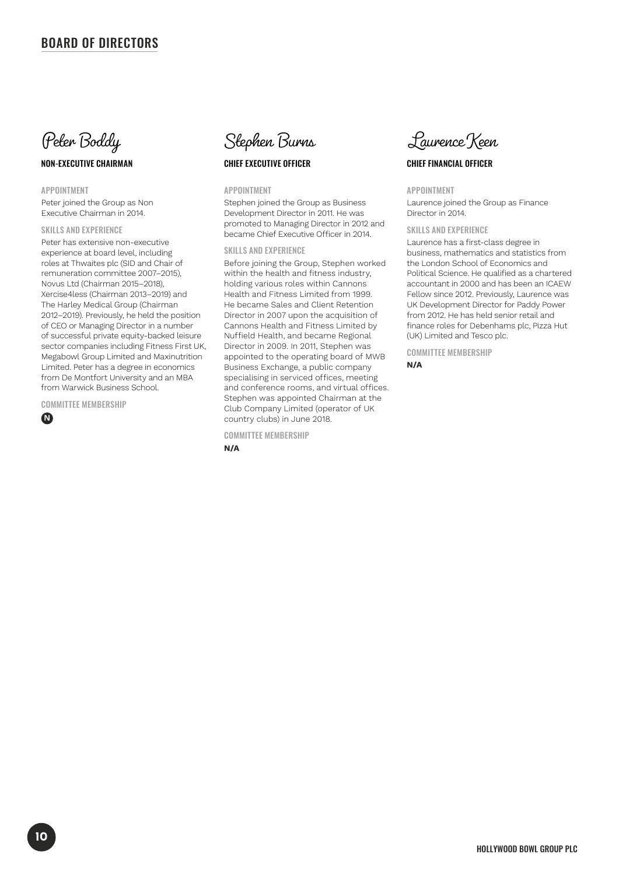### BOARD OF DIRECTORS



#### NON-EXECUTIVE CHAIRMAN

APPOINTMENT

Peter joined the Group as Non Executive Chairman in 2014.

#### SKILLS AND EXPERIENCE

Peter has extensive non-executive experience at board level, including roles at Thwaites plc (SID and Chair of remuneration committee 2007–2015), Novus Ltd (Chairman 2015–2018), Xercise4less (Chairman 2013–2019) and The Harley Medical Group (Chairman 2012–2019). Previously, he held the position of CEO or Managing Director in a number of successful private equity-backed leisure sector companies including Fitness First UK, Megabowl Group Limited and Maxinutrition Limited. Peter has a degree in economics from De Montfort University and an MBA from Warwick Business School.

COMMITTEE MEMBERSHIP

**N**



#### CHIEF EXECUTIVE OFFICER

#### APPOINTMENT

Stephen joined the Group as Business Development Director in 2011. He was promoted to Managing Director in 2012 and became Chief Executive Officer in 2014.

#### SKILLS AND EXPERIENCE

Before joining the Group, Stephen worked within the health and fitness industry, holding various roles within Cannons Health and Fitness Limited from 1999. He became Sales and Client Retention Director in 2007 upon the acquisition of Cannons Health and Fitness Limited by Nuffield Health, and became Regional Director in 2009. In 2011, Stephen was appointed to the operating board of MWB Business Exchange, a public company specialising in serviced offices, meeting and conference rooms, and virtual offices. Stephen was appointed Chairman at the Club Company Limited (operator of UK country clubs) in June 2018.

COMMITTEE MEMBERSHIP

**N/A**



#### CHIEF FINANCIAL OFFICER

#### APPOINTMENT

Laurence joined the Group as Finance Director in 2014.

#### SKILLS AND EXPERIENCE

Laurence has a first-class degree in business, mathematics and statistics from the London School of Economics and Political Science. He qualified as a chartered accountant in 2000 and has been an ICAEW Fellow since 2012. Previously, Laurence was UK Development Director for Paddy Power from 2012. He has held senior retail and finance roles for Debenhams plc, Pizza Hut (UK) Limited and Tesco plc.

COMMITTEE MEMBERSHIP

**N/A**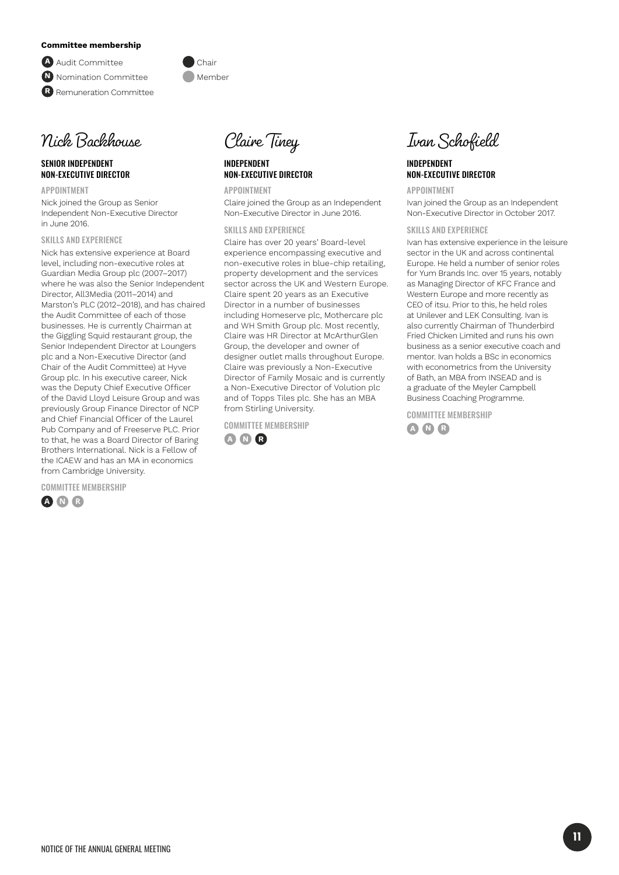#### **Committee membership**

**A** Audit Committee Chair **N** Nomination Committee **Manufacture** Member **R** Remuneration Committee



#### SENIOR INDEPENDENT NON-EXECUTIVE DIRECTOR

APPOINTMENT Nick joined the Group as Senior Independent Non-Executive Director in June 2016.

SKILLS AND EXPERIENCE

Nick has extensive experience at Board level, including non-executive roles at Guardian Media Group plc (2007–2017) where he was also the Senior Independent Director, All3Media (2011–2014) and Marston's PLC (2012–2018), and has chaired the Audit Committee of each of those businesses. He is currently Chairman at the Giggling Squid restaurant group, the Senior Independent Director at Loungers plc and a Non-Executive Director (and Chair of the Audit Committee) at Hyve Group plc. In his executive career, Nick was the Deputy Chief Executive Officer of the David Lloyd Leisure Group and was previously Group Finance Director of NCP and Chief Financial Officer of the Laurel Pub Company and of Freeserve PLC. Prior to that, he was a Board Director of Baring Brothers International. Nick is a Fellow of the ICAEW and has an MA in economics from Cambridge University.

COMMITTEE MEMBERSHIP





#### INDEPENDENT NON-EXECUTIVE DIRECTOR

APPOINTMENT

Claire joined the Group as an Independent Non-Executive Director in June 2016.

#### SKILLS AND EXPERIENCE

Claire has over 20 years' Board-level experience encompassing executive and non-executive roles in blue-chip retailing, property development and the services sector across the UK and Western Europe. Claire spent 20 years as an Executive Director in a number of businesses including Homeserve plc, Mothercare plc and WH Smith Group plc. Most recently, Claire was HR Director at McArthurGlen Group, the developer and owner of designer outlet malls throughout Europe. Claire was previously a Non-Executive Director of Family Mosaic and is currently a Non-Executive Director of Volution plc and of Topps Tiles plc. She has an MBA from Stirling University.

COMMITTEE MEMBERSHIP





#### INDEPENDENT NON-EXECUTIVE DIRECTOR

APPOINTMENT

Ivan joined the Group as an Independent Non-Executive Director in October 2017.

#### SKILLS AND EXPERIENCE

Ivan has extensive experience in the leisure sector in the UK and across continental Europe. He held a number of senior roles for Yum Brands Inc. over 15 years, notably as Managing Director of KFC France and Western Europe and more recently as CEO of itsu. Prior to this, he held roles at Unilever and LEK Consulting. Ivan is also currently Chairman of Thunderbird Fried Chicken Limited and runs his own business as a senior executive coach and mentor. Ivan holds a BSc in economics with econometrics from the University of Bath, an MBA from INSEAD and is a graduate of the Meyler Campbell Business Coaching Programme.

COMMITTEE MEMBERSHIP